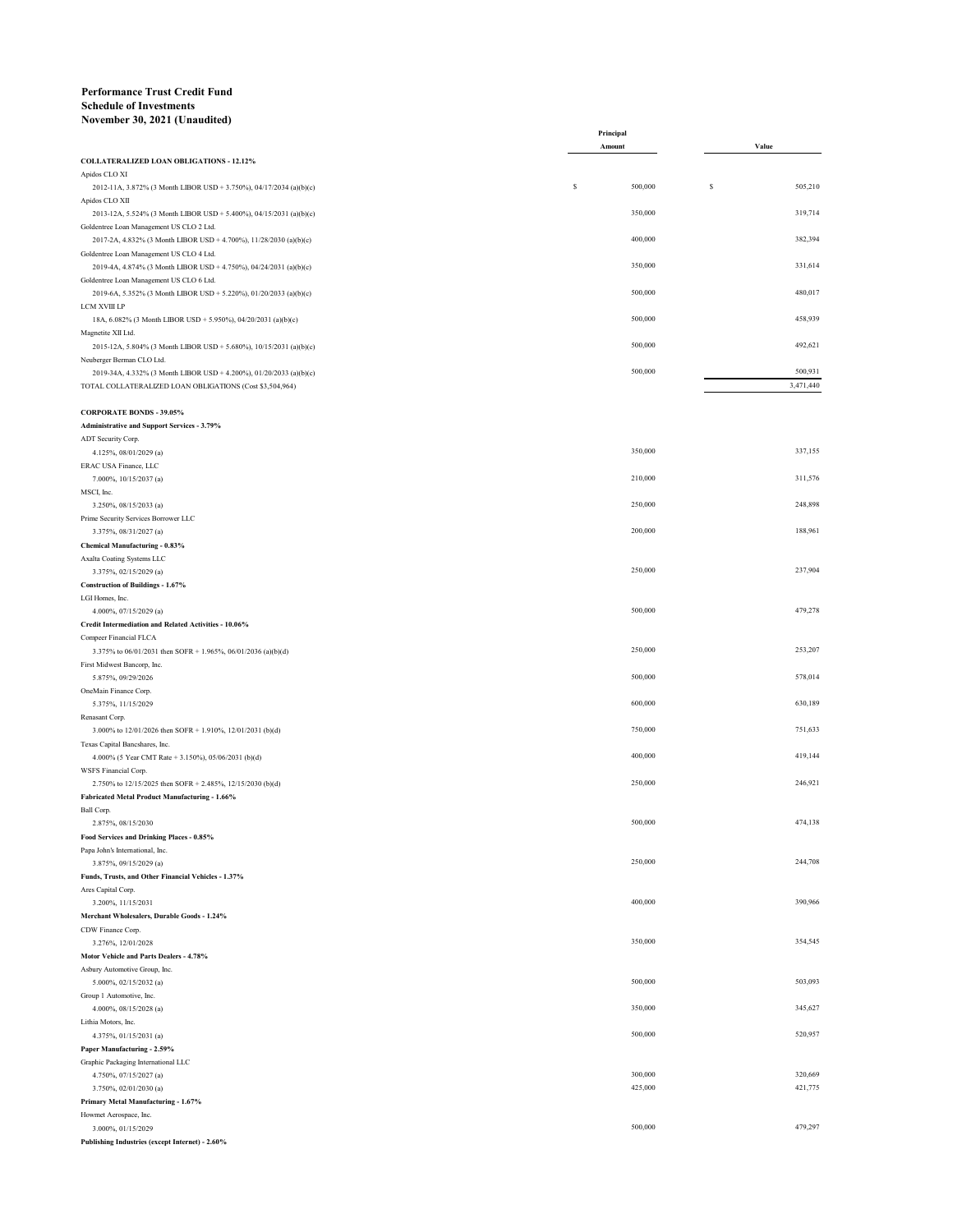## **Performance Trust Credit Fund Schedule of Investments November 30, 2021 (Unaudited)**

|                                                                                                                 | Principal    |              |
|-----------------------------------------------------------------------------------------------------------------|--------------|--------------|
| COLLATERALIZED LOAN OBLIGATIONS - 12.12%                                                                        | Amount       | Value        |
| Apidos CLO XI                                                                                                   |              |              |
| 2012-11A, 3.872% (3 Month LIBOR USD + 3.750%), 04/17/2034 (a)(b)(c)<br>Apidos CLO XII                           | 500,000<br>s | s<br>505,210 |
| 2013-12A, 5.524% (3 Month LIBOR USD + 5.400%), 04/15/2031 (a)(b)(c)<br>Goldentree Loan Management US CLO 2 Ltd. | 350,000      | 319,714      |
| 2017-2A, 4.832% (3 Month LIBOR USD + 4.700%), 11/28/2030 (a)(b)(c)                                              | 400,000      | 382,394      |
| Goldentree Loan Management US CLO 4 Ltd.                                                                        |              |              |
| 2019-4A, 4.874% (3 Month LIBOR USD + 4.750%), 04/24/2031 (a)(b)(c)                                              | 350,000      | 331,614      |
| Goldentree Loan Management US CLO 6 Ltd.                                                                        |              |              |
| 2019-6A, 5.352% (3 Month LIBOR USD + 5.220%), 01/20/2033 (a)(b)(c)<br>LCM XVIII LP                              | 500,000      | 480,017      |
| 18A, 6.082% (3 Month LIBOR USD + 5.950%), 04/20/2031 (a)(b)(c)<br>Magnetite XII Ltd.                            | 500,000      | 458,939      |
| 2015-12A, 5.804% (3 Month LIBOR USD + 5.680%), 10/15/2031 (a)(b)(c)                                             | 500,000      | 492,621      |
| Neuberger Berman CLO Ltd.<br>2019-34A, 4.332% (3 Month LIBOR USD + 4.200%), 01/20/2033 (a)(b)(c)                | 500,000      | 500,931      |
| TOTAL COLLATERALIZED LOAN OBLIGATIONS (Cost \$3,504,964)                                                        |              | 3,471,440    |
| <b>CORPORATE BONDS - 39.05%</b>                                                                                 |              |              |
| Administrative and Support Services - 3.79%                                                                     |              |              |
| ADT Security Corp.                                                                                              |              |              |
| 4.125%, 08/01/2029 (a)<br>ERAC USA Finance, LLC                                                                 | 350,000      | 337,155      |
| 7.000%, 10/15/2037 (a)                                                                                          | 210,000      | 311,576      |
| MSCI, Inc.<br>3.250%, 08/15/2033 (a)                                                                            | 250,000      | 248,898      |
| Prime Security Services Borrower LLC                                                                            |              |              |
| 3.375%, 08/31/2027 (a)                                                                                          | 200,000      | 188,961      |
| Chemical Manufacturing - 0.83%                                                                                  |              |              |
| Axalta Coating Systems LLC                                                                                      | 250,000      | 237,904      |
| 3.375%, 02/15/2029 (a)<br>Construction of Buildings - 1.67%                                                     |              |              |
| LGI Homes, Inc.                                                                                                 |              |              |
| 4.000%, 07/15/2029 (a)                                                                                          | 500,000      | 479,278      |
| Credit Intermediation and Related Activities - 10.06%                                                           |              |              |
| Compeer Financial FLCA<br>3.375% to 06/01/2031 then SOFR + 1.965%, 06/01/2036 (a)(b)(d)                         | 250,000      | 253,207      |
| First Midwest Bancorp, Inc.                                                                                     |              |              |
| 5.875%, 09/29/2026                                                                                              | 500,000      | 578,014      |
| OneMain Finance Corp.                                                                                           |              |              |
| 5.375%, 11/15/2029                                                                                              | 600,000      | 630,189      |
| Renasant Corp.<br>3.000% to 12/01/2026 then SOFR + 1.910%, 12/01/2031 (b)(d)                                    | 750,000      | 751,633      |
| Texas Capital Bancshares, Inc.                                                                                  |              |              |
| 4.000% (5 Year CMT Rate + 3.150%), 05/06/2031 (b)(d)                                                            | 400,000      | 419,144      |
| WSFS Financial Corp.                                                                                            |              |              |
| 2.750% to 12/15/2025 then SOFR + 2.485%, 12/15/2030 (b)(d)<br>Fabricated Metal Product Manufacturing - 1.66%    | 250,000      | 246,921      |
| Ball Corp.                                                                                                      |              |              |
| 2.875%, 08/15/2030                                                                                              | 500,000      | 474,138      |
| Food Services and Drinking Places - 0.85%                                                                       |              |              |
| Papa John's International, Inc.                                                                                 | 250,000      | 244,708      |
| 3.875%, 09/15/2029 (a)<br>Funds, Trusts, and Other Financial Vehicles - 1.37%                                   |              |              |
| Ares Capital Corp.                                                                                              |              |              |
| 3.200%, 11/15/2031                                                                                              | 400,000      | 390,966      |
| Merchant Wholesalers, Durable Goods - 1.24%                                                                     |              |              |
| CDW Finance Corp.                                                                                               | 350,000      | 354,545      |
| 3.276%, 12/01/2028<br>Motor Vehicle and Parts Dealers - 4.78%                                                   |              |              |
| Asbury Automotive Group, Inc.                                                                                   |              |              |
| 5.000%, 02/15/2032 (a)                                                                                          | 500,000      | 503,093      |
| Group 1 Automotive, Inc.                                                                                        |              |              |
| 4.000%, 08/15/2028 (a)                                                                                          | 350,000      | 345,627      |
| Lithia Motors, Inc.<br>4.375%, 01/15/2031 (a)                                                                   | 500,000      | 520,957      |
| Paper Manufacturing - 2.59%                                                                                     |              |              |
| Graphic Packaging International LLC                                                                             |              |              |
| 4.750%, 07/15/2027 (a)                                                                                          | 300,000      | 320,669      |
| 3.750%, 02/01/2030 (a)                                                                                          | 425,000      | 421,775      |
| Primary Metal Manufacturing - 1.67%<br>Howmet Aerospace, Inc.                                                   |              |              |
| 3.000%, 01/15/2029                                                                                              | 500,000      | 479,297      |
|                                                                                                                 |              |              |

**Publishing Industries (except Internet) - 2.60%**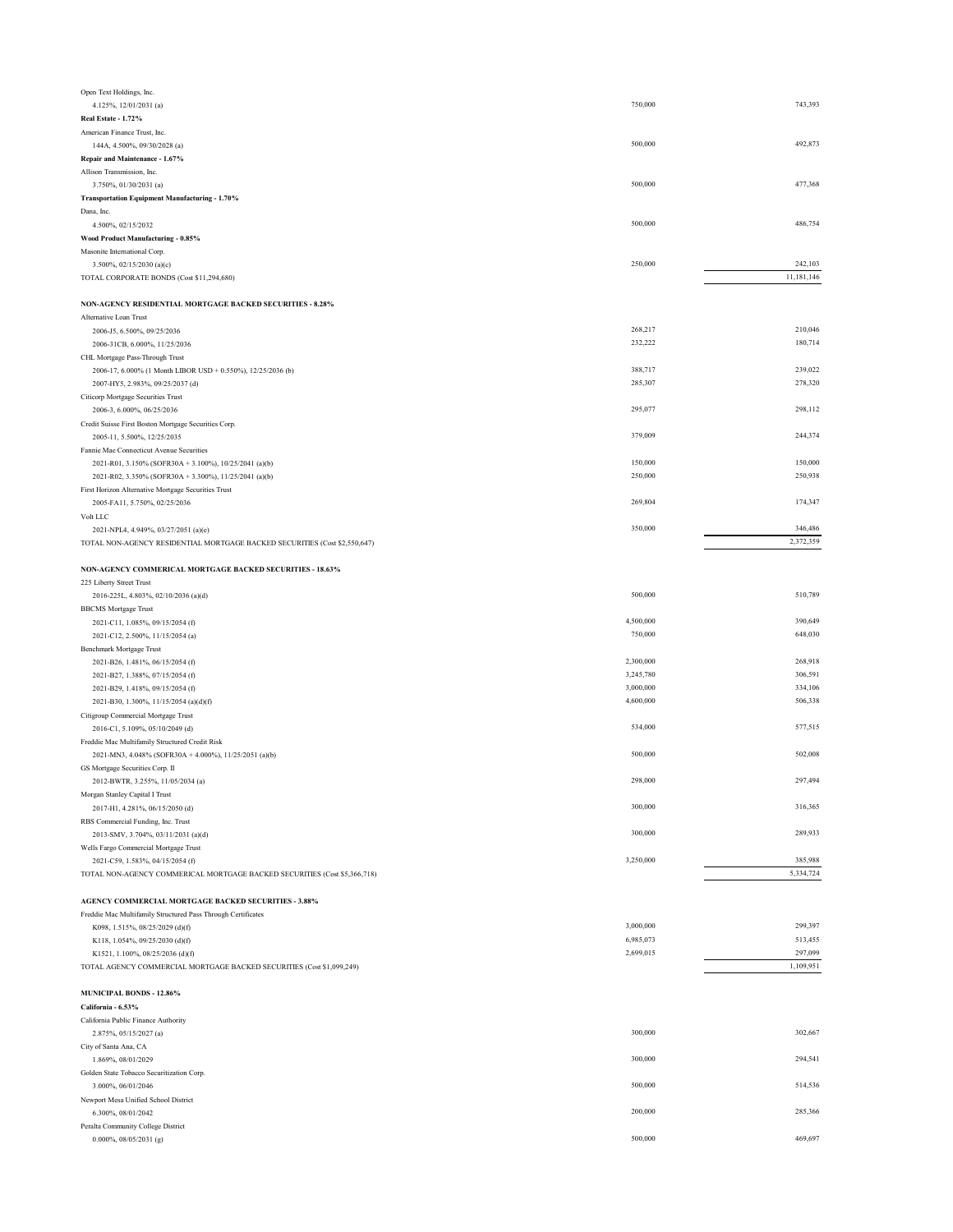| Open Text Holdings, Inc.                                                   |           |            |
|----------------------------------------------------------------------------|-----------|------------|
| 4.125%, 12/01/2031 (a)                                                     | 750,000   | 743,393    |
| Real Estate - 1.72%                                                        |           |            |
| American Finance Trust, Inc.                                               |           |            |
| 144A, 4.500%, 09/30/2028 (a)                                               | 500,000   | 492,873    |
| Repair and Maintenance - 1.67%                                             |           |            |
| Allison Transmission, Inc.                                                 |           |            |
|                                                                            | 500,000   | 477,368    |
| 3.750%, 01/30/2031 (a)                                                     |           |            |
| Transportation Equipment Manufacturing - 1.70%                             |           |            |
| Dana, Inc.                                                                 |           |            |
| 4.500%, 02/15/2032                                                         | 500,000   | 486,754    |
| Wood Product Manufacturing - 0.85%                                         |           |            |
| Masonite International Corp.                                               |           |            |
| 3.500%, 02/15/2030 (a)(c)                                                  | 250,000   | 242,103    |
| TOTAL CORPORATE BONDS (Cost \$11,294,680)                                  |           | 11,181,146 |
|                                                                            |           |            |
| NON-AGENCY RESIDENTIAL MORTGAGE BACKED SECURITIES - 8.28%                  |           |            |
| Alternative Loan Trust                                                     |           |            |
| 2006-J5, 6.500%, 09/25/2036                                                | 268,217   | 210,046    |
|                                                                            | 232,222   | 180,714    |
| 2006-31CB, 6.000%, 11/25/2036                                              |           |            |
| CHL Mortgage Pass-Through Trust                                            |           |            |
| 2006-17, 6.000% (1 Month LIBOR USD + 0.550%), 12/25/2036 (b)               | 388,717   | 239,022    |
| 2007-HY5, 2.983%, 09/25/2037 (d)                                           | 285,307   | 278,320    |
| Citicorp Mortgage Securities Trust                                         |           |            |
| 2006-3, 6.000%, 06/25/2036                                                 | 295,077   | 298,112    |
| Credit Suisse First Boston Mortgage Securities Corp.                       |           |            |
| 2005-11, 5.500%, 12/25/2035                                                | 379,009   | 244,374    |
| Fannie Mae Connecticut Avenue Securities                                   |           |            |
|                                                                            | 150,000   | 150,000    |
| 2021-R01, 3.150% (SOFR30A + 3.100%), 10/25/2041 (a)(b)                     |           |            |
| 2021-R02, 3.350% (SOFR30A + 3.300%), 11/25/2041 (a)(b)                     | 250,000   | 250,938    |
| First Horizon Alternative Mortgage Securities Trust                        |           |            |
| 2005-FA11, 5.750%, 02/25/2036                                              | 269,804   | 174,347    |
| Volt LLC                                                                   |           |            |
| 2021-NPL4, 4.949%, 03/27/2051 (a)(e)                                       | 350,000   | 346,486    |
| TOTAL NON-AGENCY RESIDENTIAL MORTGAGE BACKED SECURITIES (Cost \$2,550,647) |           | 2,372,359  |
|                                                                            |           |            |
| NON-AGENCY COMMERICAL MORTGAGE BACKED SECURITIES - 18.63%                  |           |            |
|                                                                            |           |            |
| 225 Liberty Street Trust                                                   |           |            |
| 2016-225L, 4.803%, 02/10/2036 (a)(d)                                       | 500,000   | 510,789    |
| <b>BBCMS</b> Mortgage Trust                                                |           |            |
| 2021-C11, 1.085%, 09/15/2054 (f)                                           | 4,500,000 | 390,649    |
| 2021-C12, 2.500%, 11/15/2054 (a)                                           | 750,000   | 648,030    |
| Benchmark Mortgage Trust                                                   |           |            |
| 2021-B26, 1.481%, 06/15/2054 (f)                                           | 2,300,000 | 268,918    |
| 2021-B27, 1.388%, 07/15/2054 (f)                                           | 3,245,780 | 306,591    |
| 2021-B29, 1.418%, 09/15/2054 (f)                                           | 3,000,000 | 334,106    |
|                                                                            | 4,600,000 | 506,338    |
| 2021-B30, 1.300%, 11/15/2054 (a)(d)(f)                                     |           |            |
| Citigroup Commercial Mortgage Trust                                        |           |            |
| 2016-C1, 5.109%, 05/10/2049 (d)                                            | 534,000   | 577,515    |
| Freddie Mac Multifamily Structured Credit Risk                             |           |            |
| 2021-MN3, 4.048% (SOFR30A + 4.000%), 11/25/2051 (a)(b)                     | 500,000   | 502,008    |
| GS Mortgage Securities Corp. II                                            |           |            |
| 2012-BWTR, 3.255%, 11/05/2034 (a)                                          | 298,000   | 297,494    |
| Morgan Stanley Capital I Trust                                             |           |            |
| 2017-H1, 4.281%, 06/15/2050 (d)                                            | 300,000   | 316,365    |
|                                                                            |           |            |
| RBS Commercial Funding, Inc. Trust                                         |           |            |
| 2013-SMV, 3.704%, 03/11/2031 (a)(d)                                        | 300,000   | 289,933    |
| Wells Fargo Commercial Mortgage Trust                                      |           |            |
| 2021-C59, 1.583%, 04/15/2054 (f)                                           | 3,250,000 | 385,988    |
| TOTAL NON-AGENCY COMMERICAL MORTGAGE BACKED SECURITIES (Cost \$5,366,718)  |           | 5,334,724  |
|                                                                            |           |            |
| AGENCY COMMERCIAL MORTGAGE BACKED SECURITIES - 3.88%                       |           |            |
| Freddie Mac Multifamily Structured Pass Through Certificates               |           |            |
| K098, 1.515%, 08/25/2029 (d)(f)                                            | 3,000,000 | 299,397    |
| K118, 1.054%, 09/25/2030 (d)(f)                                            | 6,985,073 | 513,455    |
|                                                                            | 2,699,015 | 297,099    |
| K1521, 1.100%, 08/25/2036 (d)(f)                                           |           |            |
| TOTAL AGENCY COMMERCIAL MORTGAGE BACKED SECURITIES (Cost \$1,099,249)      |           | 1,109,951  |
|                                                                            |           |            |
| <b>MUNICIPAL BONDS - 12.86%</b>                                            |           |            |
| California - 6.53%                                                         |           |            |
| California Public Finance Authority                                        |           |            |
| 2.875%, 05/15/2027 (a)                                                     | 300,000   | 302,667    |
| City of Santa Ana, CA                                                      |           |            |
| 1.869%, 08/01/2029                                                         | 300,000   | 294,541    |
|                                                                            |           |            |
| Golden State Tobacco Securitization Corp.                                  | 500,000   | 514,536    |
| 3.000%, 06/01/2046                                                         |           |            |
| Newport Mesa Unified School District                                       |           |            |
| 6.300%, 08/01/2042                                                         | 200,000   | 285,366    |
| Peralta Community College District                                         |           |            |
| $0.000\%, 08/05/2031$ (g)                                                  | 500,000   | 469,697    |